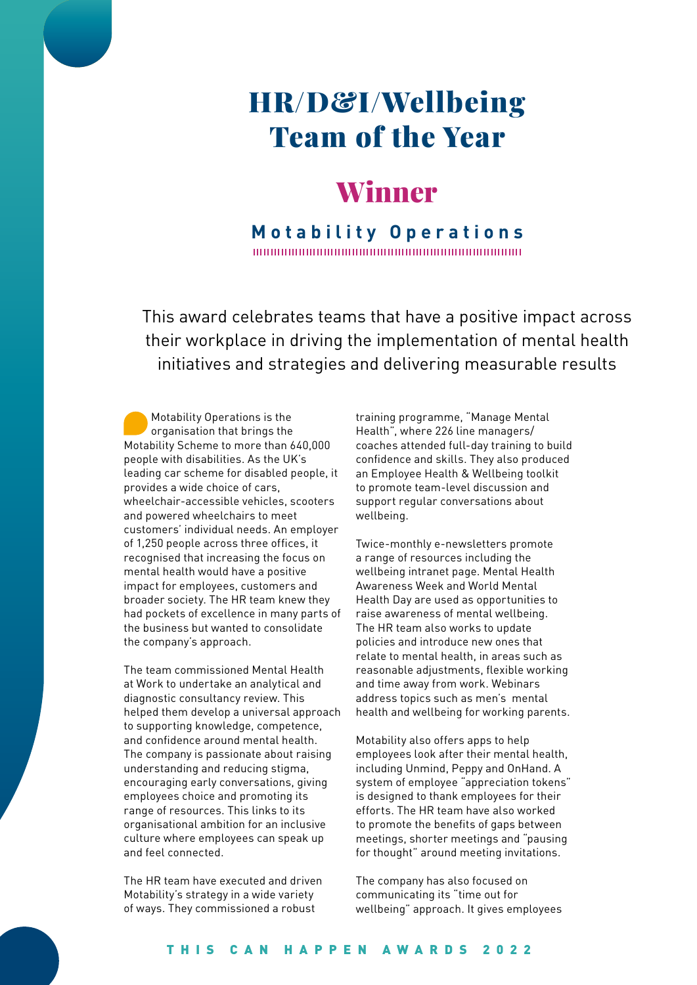# HR/D&I/Wellbeing Team of the Year

## Winner

**Motability Operations** 

This award celebrates teams that have a positive impact across their workplace in driving the implementation of mental health initiatives and strategies and delivering measurable results

Motability Operations is the organisation that brings the Motability Scheme to more than 640,000 people with disabilities. As the UK's leading car scheme for disabled people, it provides a wide choice of cars, wheelchair-accessible vehicles, scooters and powered wheelchairs to meet customers' individual needs. An employer of 1,250 people across three offices, it recognised that increasing the focus on mental health would have a positive impact for employees, customers and broader society. The HR team knew they had pockets of excellence in many parts of the business but wanted to consolidate the company's approach.

The team commissioned Mental Health at Work to undertake an analytical and diagnostic consultancy review. This helped them develop a universal approach to supporting knowledge, competence, and confidence around mental health. The company is passionate about raising understanding and reducing stigma, encouraging early conversations, giving employees choice and promoting its range of resources. This links to its organisational ambition for an inclusive culture where employees can speak up and feel connected.

The HR team have executed and driven Motability's strategy in a wide variety of ways. They commissioned a robust

training programme, "Manage Mental Health", where 226 line managers/ coaches attended full-day training to build confidence and skills. They also produced an Employee Health & Wellbeing toolkit to promote team-level discussion and support regular conversations about wellbeing.

Twice-monthly e-newsletters promote a range of resources including the wellbeing intranet page. Mental Health Awareness Week and World Mental Health Day are used as opportunities to raise awareness of mental wellbeing. The HR team also works to update policies and introduce new ones that relate to mental health, in areas such as reasonable adjustments, flexible working and time away from work. Webinars address topics such as men's mental health and wellbeing for working parents.

Motability also offers apps to help employees look after their mental health, including Unmind, Peppy and OnHand. A system of employee "appreciation tokens" is designed to thank employees for their efforts. The HR team have also worked to promote the benefits of gaps between meetings, shorter meetings and "pausing for thought" around meeting invitations.

The company has also focused on communicating its "time out for wellbeing" approach. It gives employees